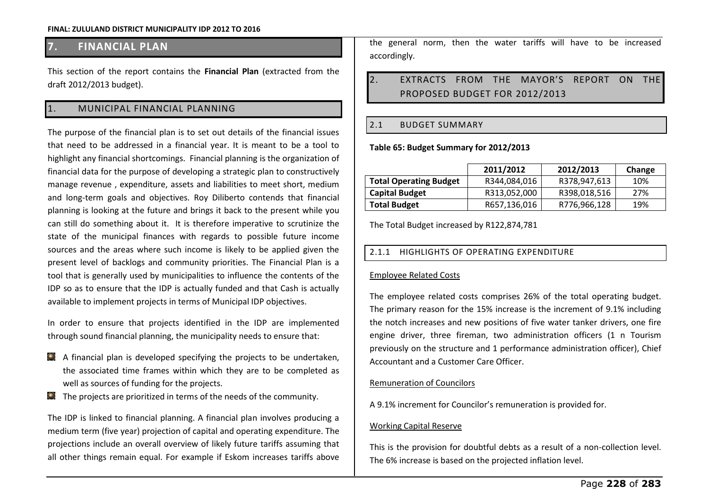## **7. FINANCIAL PLAN**

This section of the report contains the **Financial Plan** (extracted from the draft 2012/2013 budget).

### 1. MUNICIPAL FINANCIAL PLANNING

The purpose of the financial plan is to set out details of the financial issues that need to be addressed in a financial year. It is meant to be a tool to highlight any financial shortcomings. Financial planning is the organization of financial data for the purpose of developing a strategic plan to constructively manage revenue , expenditure, assets and liabilities to meet short, medium and long-term goals and objectives. Roy Diliberto contends that financial planning is looking at the future and brings it back to the present while you can still do something about it. It is therefore imperative to scrutinize the state of the municipal finances with regards to possible future income sources and the areas where such income is likely to be applied given the present level of backlogs and community priorities. The Financial Plan is a tool that is generally used by municipalities to influence the contents of the IDP so as to ensure that the IDP is actually funded and that Cash is actually available to implement projects in terms of Municipal IDP objectives.

In order to ensure that projects identified in the IDP are implemented through sound financial planning, the municipality needs to ensure that:

- A financial plan is developed specifying the projects to be undertaken, the associated time frames within which they are to be completed as well as sources of funding for the projects.
- $\Box$  The projects are prioritized in terms of the needs of the community.

The IDP is linked to financial planning. A financial plan involves producing a medium term (five year) projection of capital and operating expenditure. The projections include an overall overview of likely future tariffs assuming that all other things remain equal. For example if Eskom increases tariffs above the general norm, then the water tariffs will have to be increased accordingly.

### 2. EXTRACTS FROM THE MAYOR'S REPORT ON THE PROPOSED BUDGET FOR 2012/2013

### 2.1 BUDGET SUMMARY

#### **Table 65: Budget Summary for 2012/2013**

|                               | 2011/2012    | 2012/2013    | Change |
|-------------------------------|--------------|--------------|--------|
| <b>Total Operating Budget</b> | R344,084,016 | R378,947,613 | 10%    |
| <b>Capital Budget</b>         | R313,052,000 | R398,018,516 | 27%    |
| <b>Total Budget</b>           | R657,136,016 | R776,966,128 | 19%    |

The Total Budget increased by R122,874,781

### 2.1.1 HIGHLIGHTS OF OPERATING EXPENDITURE

### Employee Related Costs

The employee related costs comprises 26% of the total operating budget. The primary reason for the 15% increase is the increment of 9.1% including the notch increases and new positions of five water tanker drivers, one fire engine driver, three fireman, two administration officers (1 n Tourism previously on the structure and 1 performance administration officer), Chief Accountant and a Customer Care Officer.

### Remuneration of Councilors

A 9.1% increment for Councilor's remuneration is provided for.

### Working Capital Reserve

This is the provision for doubtful debts as a result of a non-collection level. The 6% increase is based on the projected inflation level.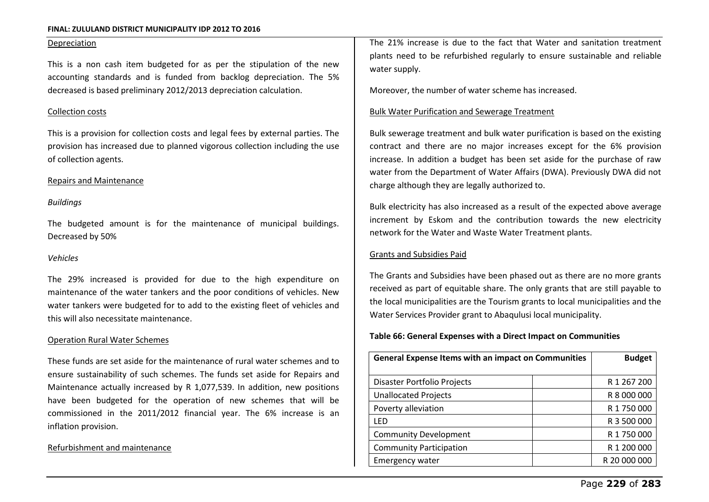#### Depreciation

This is a non cash item budgeted for as per the stipulation of the new accounting standards and is funded from backlog depreciation. The 5% decreased is based preliminary 2012/2013 depreciation calculation.

#### Collection costs

This is a provision for collection costs and legal fees by external parties. The provision has increased due to planned vigorous collection including the use of collection agents.

#### Repairs and Maintenance

#### *Buildings*

The budgeted amount is for the maintenance of municipal buildings. Decreased by 50%

#### *Vehicles*

The 29% increased is provided for due to the high expenditure on maintenance of the water tankers and the poor conditions of vehicles. New water tankers were budgeted for to add to the existing fleet of vehicles and this will also necessitate maintenance.

#### Operation Rural Water Schemes

These funds are set aside for the maintenance of rural water schemes and to ensure sustainability of such schemes. The funds set aside for Repairs and Maintenance actually increased by R 1,077,539. In addition, new positions have been budgeted for the operation of new schemes that will be commissioned in the 2011/2012 financial year. The 6% increase is an inflation provision.

#### Refurbishment and maintenance

The 21% increase is due to the fact that Water and sanitation treatment plants need to be refurbished regularly to ensure sustainable and reliable water supply.

Moreover, the number of water scheme has increased.

#### Bulk Water Purification and Sewerage Treatment

Bulk sewerage treatment and bulk water purification is based on the existing contract and there are no major increases except for the 6% provision increase. In addition a budget has been set aside for the purchase of raw water from the Department of Water Affairs (DWA). Previously DWA did not charge although they are legally authorized to.

Bulk electricity has also increased as a result of the expected above average increment by Eskom and the contribution towards the new electricity network for the Water and Waste Water Treatment plants.

#### Grants and Subsidies Paid

The Grants and Subsidies have been phased out as there are no more grants received as part of equitable share. The only grants that are still payable to the local municipalities are the Tourism grants to local municipalities and the Water Services Provider grant to Abaqulusi local municipality.

#### **Table 66: General Expenses with a Direct Impact on Communities**

| <b>General Expense Items with an impact on Communities</b> | <b>Budget</b> |
|------------------------------------------------------------|---------------|
|                                                            |               |
| Disaster Portfolio Projects                                | R 1 267 200   |
| <b>Unallocated Projects</b>                                | R 8 000 000   |
| Poverty alleviation                                        | R 1 750 000   |
| LFD                                                        | R 3 500 000   |
| <b>Community Development</b>                               | R 1 750 000   |
| <b>Community Participation</b>                             | R 1 200 000   |
| <b>Emergency water</b>                                     | R 20 000 000  |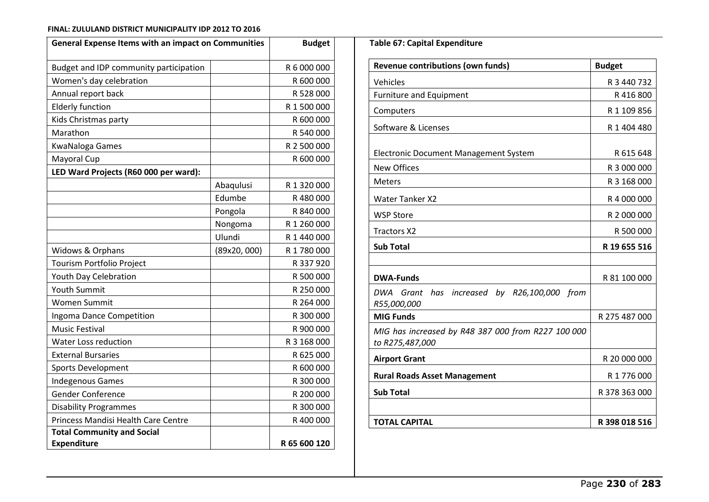| <b>General Expense Items with an impact on Communities</b> |             | <b>Budget</b> |  |  |  |
|------------------------------------------------------------|-------------|---------------|--|--|--|
| Budget and IDP community participation                     |             | R 6 000 000   |  |  |  |
| Women's day celebration                                    |             | R 600 000     |  |  |  |
| Annual report back                                         |             | R 528 000     |  |  |  |
| <b>Elderly function</b>                                    |             | R 1 500 000   |  |  |  |
| Kids Christmas party                                       |             | R 600 000     |  |  |  |
| Marathon                                                   |             | R 540 000     |  |  |  |
| <b>KwaNaloga Games</b>                                     |             | R 2 500 000   |  |  |  |
| Mayoral Cup                                                |             | R 600 000     |  |  |  |
| LED Ward Projects (R60 000 per ward):                      |             |               |  |  |  |
|                                                            | Abaqulusi   | R 1 320 000   |  |  |  |
|                                                            | Edumbe      | R480000       |  |  |  |
|                                                            | Pongola     | R 840 000     |  |  |  |
|                                                            | Nongoma     | R 1 260 000   |  |  |  |
|                                                            | Ulundi      | R 1 440 000   |  |  |  |
| Widows & Orphans                                           | (89x20,000) | R 1 780 000   |  |  |  |
| Tourism Portfolio Project                                  |             | R 337 920     |  |  |  |
| Youth Day Celebration                                      |             | R 500 000     |  |  |  |
| <b>Youth Summit</b>                                        |             | R 250 000     |  |  |  |
| <b>Women Summit</b>                                        |             | R 264 000     |  |  |  |
| Ingoma Dance Competition                                   |             | R 300 000     |  |  |  |
| <b>Music Festival</b>                                      |             | R 900 000     |  |  |  |
| <b>Water Loss reduction</b>                                |             | R 3 168 000   |  |  |  |
| <b>External Bursaries</b>                                  |             | R 625 000     |  |  |  |
| Sports Development                                         |             | R 600 000     |  |  |  |
| <b>Indegenous Games</b>                                    |             | R 300 000     |  |  |  |
| <b>Gender Conference</b>                                   |             | R 200 000     |  |  |  |
| <b>Disability Programmes</b>                               |             | R 300 000     |  |  |  |
| Princess Mandisi Health Care Centre                        |             | R 400 000     |  |  |  |
| <b>Total Community and Social</b>                          |             |               |  |  |  |
| <b>Expenditure</b>                                         |             | R 65 600 120  |  |  |  |

| <b>Revenue contributions (own funds)</b>                              | <b>Budget</b> |  |  |
|-----------------------------------------------------------------------|---------------|--|--|
| Vehicles                                                              | R 3 440 732   |  |  |
| <b>Furniture and Equipment</b>                                        | R 416 800     |  |  |
| Computers                                                             | R 1 109 856   |  |  |
| Software & Licenses                                                   | R 1 404 480   |  |  |
| Electronic Document Management System                                 | R 615 648     |  |  |
| <b>New Offices</b>                                                    | R 3 000 000   |  |  |
| <b>Meters</b>                                                         | R 3 168 000   |  |  |
| <b>Water Tanker X2</b>                                                | R 4 000 000   |  |  |
| <b>WSP Store</b>                                                      | R 2 000 000   |  |  |
| <b>Tractors X2</b>                                                    | R 500 000     |  |  |
| <b>Sub Total</b>                                                      | R 19 655 516  |  |  |
|                                                                       |               |  |  |
| <b>DWA-Funds</b>                                                      | R 81 100 000  |  |  |
| DWA<br>Grant has increased by R26,100,000 from<br>R55,000,000         |               |  |  |
| <b>MIG Funds</b>                                                      | R 275 487 000 |  |  |
| MIG has increased by R48 387 000 from R227 100 000<br>to R275,487,000 |               |  |  |
| <b>Airport Grant</b>                                                  | R 20 000 000  |  |  |
| <b>Rural Roads Asset Management</b>                                   | R 1 776 000   |  |  |
| <b>Sub Total</b>                                                      | R 378 363 000 |  |  |
|                                                                       |               |  |  |
| <b>TOTAL CAPITAL</b>                                                  | R 398 018 516 |  |  |

**Table 67: Capital Expenditure**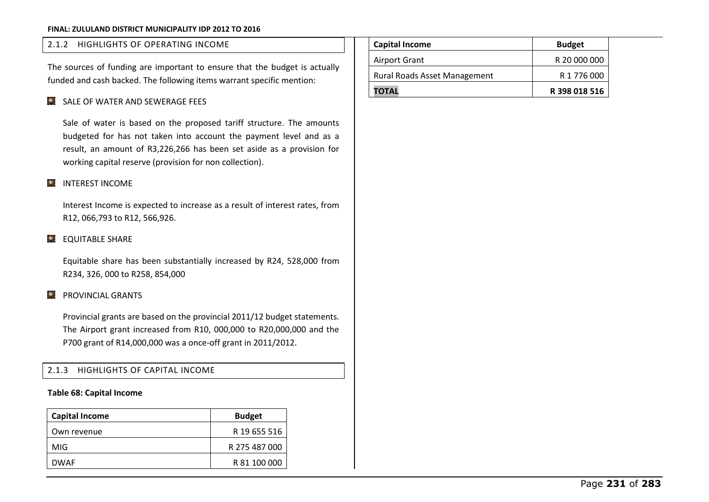### 2.1.2 HIGHLIGHTS OF OPERATING INCOME

The sources of funding are important to ensure that the budget is actually funded and cash backed. The following items warrant specific mention:

### SALE OF WATER AND SEWERAGE FEES

Sale of water is based on the proposed tariff structure. The amounts budgeted for has not taken into account the payment level and as a result, an amount of R3,226,266 has been set aside as a provision for working capital reserve (provision for non collection).

#### **C** INTEREST INCOME

Interest Income is expected to increase as a result of interest rates, from R12, 066,793 to R12, 566,926.

### **EQUITABLE SHARE**

Equitable share has been substantially increased by R24, 528,000 from R234, 326, 000 to R258, 854,000

### **PROVINCIAL GRANTS**

Provincial grants are based on the provincial 2011/12 budget statements. The Airport grant increased from R10, 000,000 to R20,000,000 and the P700 grant of R14,000,000 was a once-off grant in 2011/2012.

2.1.3 HIGHLIGHTS OF CAPITAL INCOME

#### **Table 68: Capital Income**

| <b>Capital Income</b> | <b>Budget</b> |
|-----------------------|---------------|
| Own revenue           | R 19 655 516  |
| MIG.                  | R 275 487 000 |
| <b>DWAF</b>           | R 81 100 000  |

| <b>Capital Income</b>               | <b>Budget</b> |
|-------------------------------------|---------------|
| Airport Grant                       | R 20 000 000  |
| <b>Rural Roads Asset Management</b> | R 1 776 000   |
| <b>TOTAL</b>                        | R 398 018 516 |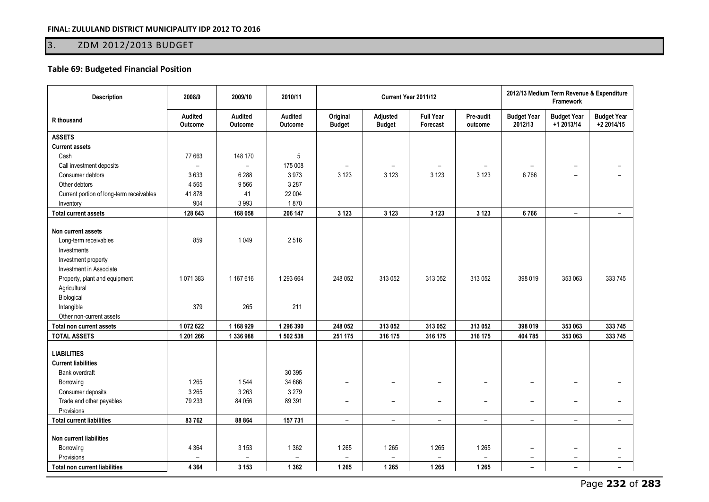# 3. ZDM 2012/2013 BUDGET

### **Table 69: Budgeted Financial Position**

| <b>Description</b>                                                                                                                                    | 2008/9                                         | 2009/10                                        | 2010/11                                        |                                                |                                                      | Current Year 2011/12                    |                                                |                                                                                  | 2012/13 Medium Term Revenue & Expenditure<br><b>Framework</b>                    |                                            |  |
|-------------------------------------------------------------------------------------------------------------------------------------------------------|------------------------------------------------|------------------------------------------------|------------------------------------------------|------------------------------------------------|------------------------------------------------------|-----------------------------------------|------------------------------------------------|----------------------------------------------------------------------------------|----------------------------------------------------------------------------------|--------------------------------------------|--|
| R thousand                                                                                                                                            | Audited<br>Outcome                             | Audited<br>Outcome                             | Audited<br>Outcome                             | Original<br><b>Budget</b>                      | Adjusted<br><b>Budget</b>                            | <b>Full Year</b><br>Forecast            | Pre-audit<br>outcome                           | <b>Budget Year</b><br>2012/13                                                    | <b>Budget Year</b><br>+1 2013/14                                                 | <b>Budget Year</b><br>+2 2014/15           |  |
| <b>ASSETS</b>                                                                                                                                         |                                                |                                                |                                                |                                                |                                                      |                                         |                                                |                                                                                  |                                                                                  |                                            |  |
| <b>Current assets</b>                                                                                                                                 |                                                |                                                |                                                |                                                |                                                      |                                         |                                                |                                                                                  |                                                                                  |                                            |  |
| Cash                                                                                                                                                  | 77 663                                         | 148 170                                        | 5                                              |                                                |                                                      |                                         |                                                |                                                                                  |                                                                                  |                                            |  |
| Call investment deposits                                                                                                                              | $\overline{\phantom{a}}$                       | $\overline{\phantom{a}}$                       | 175 008                                        | $\overline{\phantom{m}}$                       | $\overline{\phantom{m}}$                             | $\overline{\phantom{0}}$                | $\overline{\phantom{a}}$                       |                                                                                  | $\overline{\phantom{a}}$                                                         |                                            |  |
| Consumer debtors                                                                                                                                      | 3633                                           | 6 2 8 8                                        | 3973                                           | 3 1 2 3                                        | 3 1 2 3                                              | 3 1 2 3                                 | 3 1 2 3                                        | 6766                                                                             |                                                                                  |                                            |  |
| Other debtors                                                                                                                                         | 4 5 6 5                                        | 9566                                           | 3 2 8 7                                        |                                                |                                                      |                                         |                                                |                                                                                  |                                                                                  |                                            |  |
| Current portion of long-term receivables                                                                                                              | 41878                                          | 41                                             | 22 004                                         |                                                |                                                      |                                         |                                                |                                                                                  |                                                                                  |                                            |  |
| Inventory                                                                                                                                             | 904                                            | 3993                                           | 1870                                           |                                                |                                                      |                                         |                                                |                                                                                  |                                                                                  |                                            |  |
| <b>Total current assets</b>                                                                                                                           | 128 643                                        | 168 058                                        | 206 147                                        | 3 1 2 3                                        | 3 1 2 3                                              | 3 1 2 3                                 | 3 1 2 3                                        | 6766                                                                             | $\blacksquare$                                                                   | $\blacksquare$                             |  |
| Non current assets<br>Long-term receivables<br>Investments<br>Investment property<br>Investment in Associate                                          | 859                                            | 1 0 4 9                                        | 2516                                           |                                                |                                                      |                                         |                                                |                                                                                  |                                                                                  |                                            |  |
| Property, plant and equipment<br>Agricultural<br>Biological<br>Intangible<br>Other non-current assets                                                 | 1071383<br>379                                 | 1 167 616<br>265                               | 1 293 664<br>211                               | 248 052                                        | 313 052                                              | 313 052                                 | 313 052                                        | 398 019                                                                          | 353 063                                                                          | 333 745                                    |  |
| Total non current assets                                                                                                                              | 1072622                                        | 1 168 929                                      | 1 296 390                                      | 248 052                                        | 313 052                                              | 313 052                                 | 313 052                                        | 398 019                                                                          | 353 063                                                                          | 333 745                                    |  |
| <b>TOTAL ASSETS</b>                                                                                                                                   | 1 201 266                                      | 1 336 988                                      | 1 502 538                                      | 251 175                                        | 316 175                                              | 316 175                                 | 316 175                                        | 404 785                                                                          | 353 063                                                                          | 333 745                                    |  |
| <b>LIABILITIES</b><br><b>Current liabilities</b><br><b>Bank overdraft</b><br>Borrowing<br>Consumer deposits<br>Trade and other payables<br>Provisions | 1 2 6 5<br>3 2 6 5<br>79 233                   | 1544<br>3 2 6 3<br>84 056                      | 30 395<br>34 666<br>3 2 7 9<br>89 391          | -<br>$\overline{\phantom{0}}$                  | $\overline{\phantom{0}}$<br>$\overline{\phantom{0}}$ | $\overline{\phantom{0}}$                | $\overline{\phantom{0}}$                       | $\overline{\phantom{a}}$<br>$\overline{\phantom{a}}$                             | $\overline{\phantom{a}}$<br>$\overline{\phantom{a}}$                             |                                            |  |
| <b>Total current liabilities</b>                                                                                                                      | 83762                                          | 88 864                                         | 157 731                                        | $\overline{\phantom{a}}$                       | $\overline{\phantom{a}}$                             | $\overline{\phantom{a}}$                | $\overline{\phantom{a}}$                       | $\overline{\phantom{a}}$                                                         | $\overline{\phantom{a}}$                                                         | $\overline{\phantom{a}}$                   |  |
| Non current liabilities<br>Borrowing<br>Provisions<br><b>Total non current liabilities</b>                                                            | 4 3 6 4<br>$\overline{\phantom{a}}$<br>4 3 6 4 | 3 1 5 3<br>$\overline{\phantom{a}}$<br>3 1 5 3 | 1 3 6 2<br>$\overline{\phantom{a}}$<br>1 3 6 2 | 1 2 6 5<br>$\overline{\phantom{m}}$<br>1 2 6 5 | 1 2 6 5<br>$\overline{\phantom{m}}$<br>1 2 6 5       | 1 2 6 5<br>$\qquad \qquad -$<br>1 2 6 5 | 1 2 6 5<br>$\overline{\phantom{0}}$<br>1 2 6 5 | $\overline{\phantom{0}}$<br>$\overline{\phantom{a}}$<br>$\overline{\phantom{a}}$ | $\overline{\phantom{0}}$<br>$\overline{\phantom{a}}$<br>$\overline{\phantom{0}}$ | $\overline{\phantom{a}}$<br>$\blacksquare$ |  |
|                                                                                                                                                       |                                                |                                                |                                                |                                                |                                                      |                                         |                                                |                                                                                  |                                                                                  |                                            |  |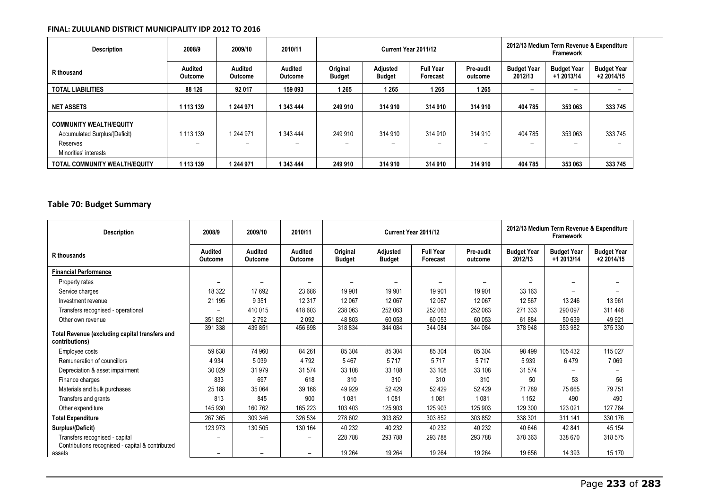| <b>Description</b>             | 2008/9                    | 2009/10                   | 2010/11                          | Current Year 2011/12      |                           |                              |                      | 2012/13 Medium Term Revenue & Expenditure<br>Framework |                                  |                                  |
|--------------------------------|---------------------------|---------------------------|----------------------------------|---------------------------|---------------------------|------------------------------|----------------------|--------------------------------------------------------|----------------------------------|----------------------------------|
| R thousand                     | Audited<br><b>Outcome</b> | <b>Audited</b><br>Outcome | <b>Audited</b><br><b>Outcome</b> | Original<br><b>Budget</b> | Adjusted<br><b>Budget</b> | <b>Full Year</b><br>Forecast | Pre-audit<br>outcome | <b>Budget Year</b><br>2012/13                          | <b>Budget Year</b><br>+1 2013/14 | <b>Budget Year</b><br>+2 2014/15 |
| <b>TOTAL LIABILITIES</b>       | 88 126                    | 92 017                    | 159 093                          | 1 265                     | 1 2 6 5                   | 1 2 6 5                      | 1 2 6 5              | $\overline{\phantom{0}}$                               | -                                |                                  |
| <b>NET ASSETS</b>              | 1 113 139                 | 1 244 971                 | 1 343 444                        | 249 910                   | 314 910                   | 314 910                      | 314 910              | 404 785                                                | 353 063                          | 333 745                          |
| <b>COMMUNITY WEALTH/EQUITY</b> |                           |                           |                                  |                           |                           |                              |                      |                                                        |                                  |                                  |
| Accumulated Surplus/(Deficit)  | 1 113 139                 | 1 244 971                 | 1 343 444                        | 249 910                   | 314 910                   | 314 910                      | 314 910              | 404 785                                                | 353 063                          | 333 745                          |
| Reserves                       | -                         | $\overline{\phantom{0}}$  |                                  | -                         | $\overline{\phantom{0}}$  |                              |                      | $\overline{\phantom{0}}$                               | -                                |                                  |
| Minorities' interests          |                           |                           |                                  |                           |                           |                              |                      |                                                        |                                  |                                  |
| TOTAL COMMUNITY WEALTH/EQUITY  | 1 113 139                 | 244 971                   | 1 343 444                        | 249 910                   | 314 910                   | 314 910                      | 314 910              | 404 785                                                | 353 063                          | 333 745                          |

### **Table 70: Budget Summary**

| <b>Description</b>                                                                 | 2008/9                    | 2009/10                   | 2010/11                  |                              |                                  | Current Year 2011/12         |                      | 2012/13 Medium Term Revenue & Expenditure<br>Framework |                                  |                                  |  |
|------------------------------------------------------------------------------------|---------------------------|---------------------------|--------------------------|------------------------------|----------------------------------|------------------------------|----------------------|--------------------------------------------------------|----------------------------------|----------------------------------|--|
| R thousands                                                                        | <b>Audited</b><br>Outcome | <b>Audited</b><br>Outcome | Audited<br>Outcome       | Original<br><b>Budget</b>    | <b>Adjusted</b><br><b>Budget</b> | <b>Full Year</b><br>Forecast | Pre-audit<br>outcome | <b>Budget Year</b><br>2012/13                          | <b>Budget Year</b><br>+1 2013/14 | <b>Budget Year</b><br>+2 2014/15 |  |
| <b>Financial Performance</b>                                                       |                           |                           |                          |                              |                                  |                              |                      |                                                        |                                  |                                  |  |
| Property rates                                                                     |                           | $\qquad \qquad$           | $\overline{\phantom{0}}$ | $\qquad \qquad \blacksquare$ | $\overline{\phantom{a}}$         | $\overline{\phantom{0}}$     | $\qquad \qquad$      | $\overline{\phantom{0}}$                               | $\qquad \qquad$                  |                                  |  |
| Service charges                                                                    | 18 3 22                   | 17692                     | 23 686                   | 19 901                       | 19 901                           | 19 901                       | 19 901               | 33 163                                                 | $\qquad \qquad$                  |                                  |  |
| Investment revenue                                                                 | 21 195                    | 9 3 5 1                   | 12 3 17                  | 12 067                       | 12 067                           | 12 067                       | 12 067               | 12 567                                                 | 13 24 6                          | 13 961                           |  |
| Transfers recognised - operational                                                 |                           | 410 015                   | 418 603                  | 238 063                      | 252 063                          | 252 063                      | 252 063              | 271 333                                                | 290 097                          | 311 448                          |  |
| Other own revenue                                                                  | 351821                    | 2792                      | 2092                     | 48 803                       | 60 053                           | 60 053                       | 60 053               | 61884                                                  | 50 639                           | 49 9 21                          |  |
| Total Revenue (excluding capital transfers and<br>contributions)                   | 391 338                   | 439 851                   | 456 698                  | 318834                       | 344 084                          | 344 084                      | 344 084              | 378 948                                                | 353 982                          | 375 330                          |  |
| Employee costs                                                                     | 59 638                    | 74 960                    | 84 261                   | 85 304                       | 85 304                           | 85 304                       | 85 304               | 98 499                                                 | 105 432                          | 115 027                          |  |
| Remuneration of councillors                                                        | 4 9 3 4                   | 5 0 3 9                   | 4792                     | 5467                         | 5717                             | 5717                         | 5717                 | 5939                                                   | 6479                             | 7 0 6 9                          |  |
| Depreciation & asset impairment                                                    | 30 0 29                   | 31 979                    | 31 574                   | 33 108                       | 33 108                           | 33 108                       | 33 108               | 31 574                                                 |                                  |                                  |  |
| Finance charges                                                                    | 833                       | 697                       | 618                      | 310                          | 310                              | 310                          | 310                  | 50                                                     | 53                               | 56                               |  |
| Materials and bulk purchases                                                       | 25 188                    | 35 0 64                   | 39 166                   | 49 9 29                      | 52 4 29                          | 52 4 29                      | 52 4 29              | 71 789                                                 | 75 665                           | 79 751                           |  |
| Transfers and grants                                                               | 813                       | 845                       | 900                      | 1081                         | 1081                             | 1081                         | 1081                 | 1 1 5 2                                                | 490                              | 490                              |  |
| Other expenditure                                                                  | 145 930                   | 160 762                   | 165 223                  | 103 403                      | 125 903                          | 125 903                      | 125 903              | 129 300                                                | 123 021                          | 127 784                          |  |
| <b>Total Expenditure</b>                                                           | 267 365                   | 309 346                   | 326 534                  | 278 602                      | 303 852                          | 303 852                      | 303 852              | 338 301                                                | 311 141                          | 330 176                          |  |
| Surplus/(Deficit)                                                                  | 123 973                   | 130 505                   | 130 164                  | 40 232                       | 40 232                           | 40 232                       | 40 232               | 40 646                                                 | 42 841                           | 45 154                           |  |
| Transfers recognised - capital<br>Contributions recognised - capital & contributed |                           |                           |                          | 228 788                      | 293 788                          | 293 788                      | 293 788              | 378 363                                                | 338 670                          | 318 575                          |  |
| assets                                                                             |                           |                           |                          | 19 264                       | 19 2 64                          | 19 264                       | 19 264               | 19 656                                                 | 14 3 93                          | 15 170                           |  |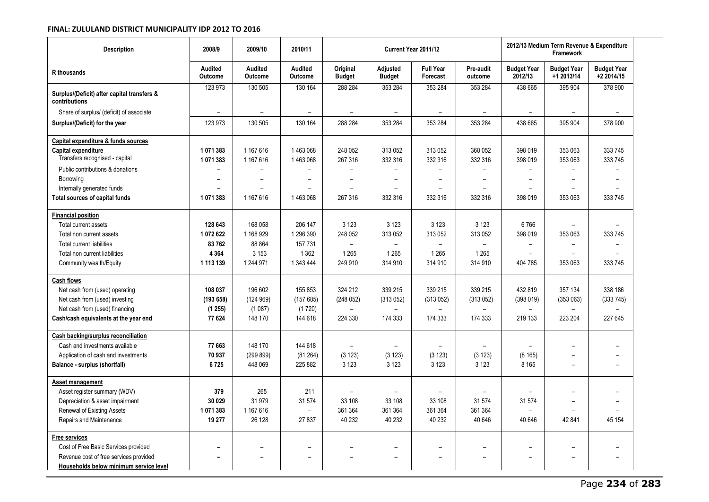| <b>Description</b>                                           | 2008/9                    | 2009/10                          | 2010/11                          |                           |                           | Current Year 2011/12         |                          |                               | 2012/13 Medium Term Revenue & Expenditure<br>Framework |                                  |
|--------------------------------------------------------------|---------------------------|----------------------------------|----------------------------------|---------------------------|---------------------------|------------------------------|--------------------------|-------------------------------|--------------------------------------------------------|----------------------------------|
| R thousands                                                  | <b>Audited</b><br>Outcome | <b>Audited</b><br><b>Outcome</b> | <b>Audited</b><br><b>Outcome</b> | Original<br><b>Budget</b> | Adjusted<br><b>Budget</b> | <b>Full Year</b><br>Forecast | Pre-audit<br>outcome     | <b>Budget Year</b><br>2012/13 | <b>Budget Year</b><br>+1 2013/14                       | <b>Budget Year</b><br>+2 2014/15 |
| Surplus/(Deficit) after capital transfers &<br>contributions | 123 973                   | 130 505                          | 130 164                          | 288 284                   | 353 284                   | 353 284                      | 353 284                  | 438 665                       | 395 904                                                | 378 900                          |
| Share of surplus/ (deficit) of associate                     | $\overline{\phantom{0}}$  | $\overline{\phantom{0}}$         | $\overline{\phantom{a}}$         | $\overline{\phantom{a}}$  | $\overline{\phantom{a}}$  | $\overline{a}$               | $\overline{\phantom{a}}$ | $\overline{\phantom{0}}$      | $\overline{\phantom{a}}$                               | $\overline{\phantom{a}}$         |
| Surplus/(Deficit) for the year                               | 123 973                   | 130 505                          | 130 164                          | 288 284                   | 353 284                   | 353 284                      | 353 284                  | 438 665                       | 395 904                                                | 378 900                          |
| Capital expenditure & funds sources                          |                           |                                  |                                  |                           |                           |                              |                          |                               |                                                        |                                  |
| Capital expenditure<br>Transfers recognised - capital        | 1071383<br>1071383        | 1 167 616<br>1 167 616           | 1463068<br>1463068               | 248 052<br>267 316        | 313 052<br>332 316        | 313 052<br>332 316           | 368 052<br>332 316       | 398 019<br>398 019            | 353 063<br>353 063                                     | 333 745<br>333 745               |
| Public contributions & donations                             | $\overline{\phantom{0}}$  | $\overline{\phantom{a}}$         | $\overline{\phantom{0}}$         | $\overline{\phantom{0}}$  | $\overline{\phantom{m}}$  |                              | $\overline{\phantom{0}}$ | $\overline{a}$                | $\overline{\phantom{a}}$                               | $\overline{\phantom{a}}$         |
| Borrowing                                                    |                           | $\overline{\phantom{0}}$         |                                  |                           | $\overline{\phantom{0}}$  |                              | $\overline{\phantom{0}}$ |                               |                                                        |                                  |
| Internally generated funds                                   |                           | $\equiv$                         |                                  | $\overline{\phantom{a}}$  | $\overline{\phantom{a}}$  |                              | $\overline{a}$           |                               | $\equiv$                                               |                                  |
| Total sources of capital funds                               | 1071383                   | 1 167 616                        | 1463068                          | 267 316                   | 332 316                   | 332 316                      | 332 316                  | 398 019                       | 353 063                                                | 333 745                          |
| <b>Financial position</b>                                    |                           |                                  |                                  |                           |                           |                              |                          |                               |                                                        |                                  |
| Total current assets                                         | 128 643                   | 168 058                          | 206 147                          | 3 1 2 3                   | 3 1 2 3                   | 3 1 2 3                      | 3 1 2 3                  | 6766                          | $\overline{\phantom{0}}$                               |                                  |
| Total non current assets                                     | 1072622                   | 1 168 929                        | 1 296 390                        | 248 052                   | 313 052                   | 313 052                      | 313 052                  | 398 019                       | 353 063                                                | 333 745                          |
| <b>Total current liabilities</b>                             | 83762                     | 88 864                           | 157 731                          |                           |                           |                              |                          | $\overline{\phantom{0}}$      |                                                        |                                  |
| Total non current liabilities                                | 4 3 6 4                   | 3 1 5 3                          | 1 3 6 2                          | 1 2 6 5                   | 1 2 6 5                   | 1 2 6 5                      | 1 2 6 5                  |                               |                                                        |                                  |
| Community wealth/Equity                                      | 1 113 139                 | 1 244 971                        | 1 343 444                        | 249 910                   | 314 910                   | 314 910                      | 314 910                  | 404 785                       | 353 063                                                | 333 745                          |
| <b>Cash flows</b>                                            |                           |                                  |                                  |                           |                           |                              |                          |                               |                                                        |                                  |
| Net cash from (used) operating                               | 108 037                   | 196 602                          | 155 853                          | 324 212                   | 339 215                   | 339 215                      | 339 215                  | 432 819                       | 357 134                                                | 338 186                          |
| Net cash from (used) investing                               | (193658)                  | (124969)                         | (157685)                         | (248052)                  | (313052)                  | (313052)                     | (313052)                 | (398019)                      | (353063)                                               | (333745)                         |
| Net cash from (used) financing                               | (1255)                    | (1087)                           | (1720)                           | $\overline{\phantom{a}}$  | $\overline{\phantom{m}}$  |                              |                          | $\overline{\phantom{a}}$      | -                                                      |                                  |
| Cash/cash equivalents at the year end                        | 77 624                    | 148 170                          | 144 618                          | 224 330                   | 174 333                   | 174 333                      | 174 333                  | 219 133                       | 223 204                                                | 227 645                          |
| Cash backing/surplus reconciliation                          |                           |                                  |                                  |                           |                           |                              |                          |                               |                                                        |                                  |
| Cash and investments available                               | 77 663                    | 148 170                          | 144 618                          | $\overline{\phantom{0}}$  | $\overline{a}$            |                              | $\overline{a}$           |                               | $\overline{\phantom{0}}$                               |                                  |
| Application of cash and investments                          | 70 937                    | (299 899)                        | (81264)                          | (3 123)                   | (3 123)                   | (3 123)                      | (3 123)                  | (8165)                        | $\overline{\phantom{0}}$                               |                                  |
| Balance - surplus (shortfall)                                | 6725                      | 448 069                          | 225 882                          | 3 1 2 3                   | 3 1 2 3                   | 3 1 2 3                      | 3 1 2 3                  | 8 1 6 5                       | $\overline{\phantom{0}}$                               |                                  |
| Asset management                                             |                           |                                  |                                  |                           |                           |                              |                          |                               |                                                        |                                  |
| Asset register summary (WDV)                                 | 379                       | 265                              | 211                              | $\overline{\phantom{0}}$  | $\overline{\phantom{0}}$  |                              | $\overline{a}$           | $\overline{\phantom{0}}$      | $\overline{\phantom{0}}$                               |                                  |
| Depreciation & asset impairment                              | 30 0 29                   | 31979                            | 31 574                           | 33 108                    | 33 108                    | 33 108                       | 31 574                   | 31 574                        | $\overline{\phantom{0}}$                               |                                  |
| Renewal of Existing Assets                                   | 1071383                   | 1 167 616                        | $\overline{a}$                   | 361 364                   | 361 364                   | 361 364                      | 361 364                  |                               |                                                        |                                  |
| Repairs and Maintenance                                      | 19 277                    | 26 128                           | 27 837                           | 40 232                    | 40 232                    | 40 232                       | 40 646                   | 40 646                        | 42 841                                                 | 45 154                           |
| <b>Free services</b>                                         |                           |                                  |                                  |                           |                           |                              |                          |                               |                                                        |                                  |
| Cost of Free Basic Services provided                         |                           |                                  |                                  |                           | $\overline{\phantom{0}}$  | $\overline{\phantom{0}}$     | -                        |                               |                                                        |                                  |
| Revenue cost of free services provided                       |                           | $\overline{\phantom{0}}$         |                                  | $\overline{\phantom{a}}$  | $\overline{\phantom{0}}$  | $\overline{\phantom{0}}$     | $\overline{a}$           |                               | $\overline{\phantom{0}}$                               |                                  |
| Households below minimum service level                       |                           |                                  |                                  |                           |                           |                              |                          |                               |                                                        |                                  |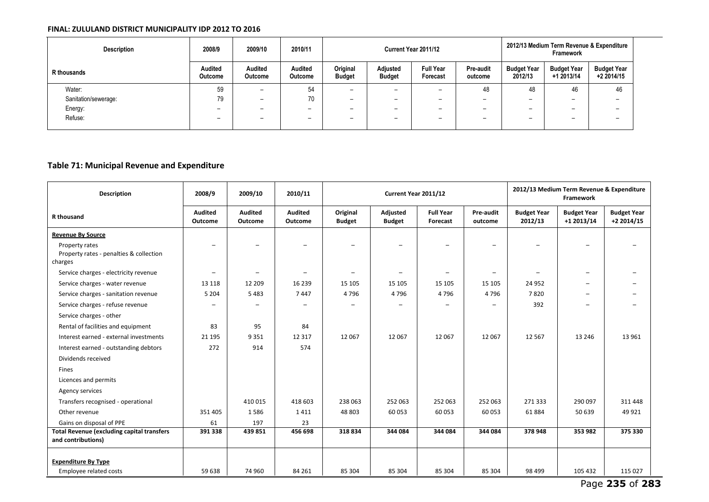| <b>Description</b>   | 2008/9                           | 2009/10                          | 2010/11                   | Current Year 2011/12      |                           |                              |                          | 2012/13 Medium Term Revenue & Expenditure<br>Framework |                                  |                                  |
|----------------------|----------------------------------|----------------------------------|---------------------------|---------------------------|---------------------------|------------------------------|--------------------------|--------------------------------------------------------|----------------------------------|----------------------------------|
| R thousands          | <b>Audited</b><br><b>Outcome</b> | <b>Audited</b><br><b>Outcome</b> | <b>Audited</b><br>Outcome | Original<br><b>Budget</b> | Adjusted<br><b>Budget</b> | <b>Full Year</b><br>Forecast | Pre-audit<br>outcome     | <b>Budget Year</b><br>2012/13                          | <b>Budget Year</b><br>+1 2013/14 | <b>Budget Year</b><br>+2 2014/15 |
| Water:               | 59                               | $\overline{\phantom{0}}$         | 54                        | $\overline{\phantom{0}}$  | $\overline{\phantom{0}}$  |                              | 48                       | 48                                                     | 46                               | 46                               |
| Sanitation/sewerage: | 79                               | $\overline{\phantom{0}}$         | 70                        | $\overline{\phantom{0}}$  | $\overline{\phantom{0}}$  |                              | $\overline{\phantom{a}}$ | <b>_</b>                                               |                                  |                                  |
| Energy:              | -                                | $\overline{\phantom{0}}$         | $\overline{\phantom{0}}$  | $\overline{\phantom{0}}$  | $\overline{\phantom{0}}$  |                              |                          | $\overline{\phantom{0}}$                               |                                  |                                  |
| Refuse:              | -                                | $\overline{\phantom{0}}$         | $\overline{\phantom{0}}$  | $\overline{\phantom{0}}$  | $\overline{\phantom{0}}$  |                              |                          |                                                        |                                  |                                  |

### **Table 71: Municipal Revenue and Expenditure**

| Description                                                             | 2008/9                    | 2009/10                   | 2010/11                   | Current Year 2011/12      |                           |                              |                          | 2012/13 Medium Term Revenue & Expenditure<br>Framework |                                  |                                  |  |
|-------------------------------------------------------------------------|---------------------------|---------------------------|---------------------------|---------------------------|---------------------------|------------------------------|--------------------------|--------------------------------------------------------|----------------------------------|----------------------------------|--|
| R thousand                                                              | <b>Audited</b><br>Outcome | <b>Audited</b><br>Outcome | <b>Audited</b><br>Outcome | Original<br><b>Budget</b> | Adjusted<br><b>Budget</b> | <b>Full Year</b><br>Forecast | Pre-audit<br>outcome     | <b>Budget Year</b><br>2012/13                          | <b>Budget Year</b><br>+1 2013/14 | <b>Budget Year</b><br>+2 2014/15 |  |
| <b>Revenue By Source</b>                                                |                           |                           |                           |                           |                           |                              |                          |                                                        |                                  |                                  |  |
| Property rates<br>Property rates - penalties & collection<br>charges    |                           |                           |                           |                           |                           |                              |                          |                                                        |                                  |                                  |  |
| Service charges - electricity revenue                                   | -                         |                           |                           |                           | $\overline{\phantom{0}}$  | $\overline{\phantom{0}}$     | $\overline{\phantom{0}}$ | $\overline{\phantom{0}}$                               |                                  |                                  |  |
| Service charges - water revenue                                         | 13 118                    | 12 209                    | 16 2 3 9                  | 15 10 5                   | 15 105                    | 15 105                       | 15 105                   | 24 9 52                                                |                                  |                                  |  |
| Service charges - sanitation revenue                                    | 5 2 0 4                   | 5483                      | 7447                      | 4796                      | 4796                      | 4796                         | 4796                     | 7820                                                   |                                  |                                  |  |
| Service charges - refuse revenue                                        |                           |                           |                           |                           |                           |                              |                          | 392                                                    |                                  |                                  |  |
| Service charges - other                                                 |                           |                           |                           |                           |                           |                              |                          |                                                        |                                  |                                  |  |
| Rental of facilities and equipment                                      | 83                        | 95                        | 84                        |                           |                           |                              |                          |                                                        |                                  |                                  |  |
| Interest earned - external investments                                  | 21 1 95                   | 9351                      | 12 3 17                   | 12 067                    | 12 0 67                   | 12 067                       | 12 067                   | 12 5 67                                                | 13 24 6                          | 13 961                           |  |
| Interest earned - outstanding debtors                                   | 272                       | 914                       | 574                       |                           |                           |                              |                          |                                                        |                                  |                                  |  |
| Dividends received                                                      |                           |                           |                           |                           |                           |                              |                          |                                                        |                                  |                                  |  |
| <b>Fines</b>                                                            |                           |                           |                           |                           |                           |                              |                          |                                                        |                                  |                                  |  |
| Licences and permits                                                    |                           |                           |                           |                           |                           |                              |                          |                                                        |                                  |                                  |  |
| Agency services                                                         |                           |                           |                           |                           |                           |                              |                          |                                                        |                                  |                                  |  |
| Transfers recognised - operational                                      |                           | 410 015                   | 418 603                   | 238 063                   | 252 063                   | 252 063                      | 252 063                  | 271 333                                                | 290 097                          | 311 448                          |  |
| Other revenue                                                           | 351 405                   | 1586                      | 1411                      | 48 803                    | 60 053                    | 60 053                       | 60 053                   | 61884                                                  | 50 639                           | 49 9 21                          |  |
| Gains on disposal of PPE                                                | 61                        | 197                       | 23                        |                           |                           |                              |                          |                                                        |                                  |                                  |  |
| <b>Total Revenue (excluding capital transfers</b><br>and contributions) | 391 338                   | 439 851                   | 456 698                   | 318834                    | 344 084                   | 344 084                      | 344 084                  | 378 948                                                | 353 982                          | 375 330                          |  |
| <b>Expenditure By Type</b>                                              |                           |                           |                           |                           |                           |                              |                          |                                                        |                                  |                                  |  |
| Employee related costs                                                  | 59 638                    | 74 960                    | 84 261                    | 85 304                    | 85 304                    | 85 304                       | 85 304                   | 98 4 99                                                | 105 432                          | 115 027                          |  |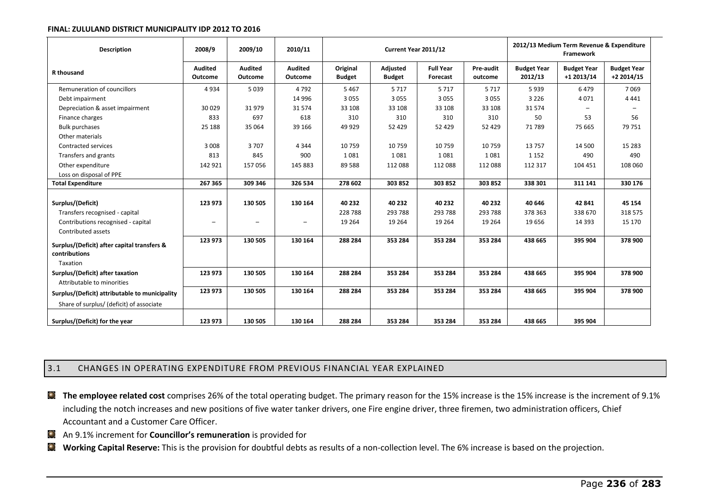| <b>Description</b>                             | 2008/9                    | 2009/10            | 2010/11                          |                           | Current Year 2011/12      |                              | 2012/13 Medium Term Revenue & Expenditure<br>Framework |                               |                                  |                                   |
|------------------------------------------------|---------------------------|--------------------|----------------------------------|---------------------------|---------------------------|------------------------------|--------------------------------------------------------|-------------------------------|----------------------------------|-----------------------------------|
| <b>R</b> thousand                              | <b>Audited</b><br>Outcome | Audited<br>Outcome | <b>Audited</b><br><b>Outcome</b> | Original<br><b>Budget</b> | Adjusted<br><b>Budget</b> | <b>Full Year</b><br>Forecast | Pre-audit<br>outcome                                   | <b>Budget Year</b><br>2012/13 | <b>Budget Year</b><br>+1 2013/14 | <b>Budget Year</b><br>$+22014/15$ |
| Remuneration of councillors                    | 4934                      | 5039               | 4792                             | 5 4 6 7                   | 5717                      | 5 7 1 7                      | 5 7 1 7                                                | 5939                          | 6479                             | 7 0 6 9                           |
| Debt impairment                                |                           |                    | 14 9 96                          | 3 0 5 5                   | 3 0 5 5                   | 3 0 5 5                      | 3 0 5 5                                                | 3 2 2 6                       | 4071                             | 4 4 4 1                           |
| Depreciation & asset impairment                | 30 0 29                   | 31979              | 31574                            | 33 108                    | 33 108                    | 33 108                       | 33 108                                                 | 31574                         |                                  | $\qquad \qquad \blacksquare$      |
| Finance charges                                | 833                       | 697                | 618                              | 310                       | 310                       | 310                          | 310                                                    | 50                            | 53                               | 56                                |
| <b>Bulk purchases</b>                          | 25 188                    | 35 064             | 39 166                           | 49 9 29                   | 52 4 29                   | 52 4 29                      | 52 429                                                 | 71789                         | 75 665                           | 79 751                            |
| Other materials                                |                           |                    |                                  |                           |                           |                              |                                                        |                               |                                  |                                   |
| Contracted services                            | 3 0 0 8                   | 3707               | 4 3 4 4                          | 10759                     | 10759                     | 10 759                       | 10759                                                  | 13757                         | 14 500                           | 15 2 8 3                          |
| Transfers and grants                           | 813                       | 845                | 900                              | 1081                      | 1081                      | 1081                         | 1081                                                   | 1 1 5 2                       | 490                              | 490                               |
| Other expenditure                              | 142 921                   | 157 056            | 145 883                          | 89 5 88                   | 112 088                   | 112 088                      | 112 088                                                | 112 317                       | 104 451                          | 108 060                           |
| Loss on disposal of PPE                        |                           |                    |                                  |                           |                           |                              |                                                        |                               |                                  |                                   |
| <b>Total Expenditure</b>                       | 267 365                   | 309 346            | 326 534                          | 278 602                   | 303 852                   | 303 852                      | 303 852                                                | 338 301                       | 311 141                          | 330 176                           |
|                                                |                           |                    |                                  |                           |                           |                              |                                                        |                               |                                  |                                   |
| Surplus/(Deficit)                              | 123 973                   | 130 505            | 130 164                          | 40 232                    | 40 232                    | 40 232                       | 40 232                                                 | 40 646                        | 42 841                           | 45 154                            |
| Transfers recognised - capital                 |                           |                    |                                  | 228 788                   | 293 788                   | 293 788                      | 293 788                                                | 378 363                       | 338 670                          | 318 575                           |
| Contributions recognised - capital             | $\overline{\phantom{m}}$  |                    | -                                | 19 2 64                   | 19 2 64                   | 19 2 64                      | 19 2 64                                                | 19 656                        | 14 3 93                          | 15 170                            |
| Contributed assets                             |                           |                    |                                  |                           |                           |                              |                                                        |                               |                                  |                                   |
| Surplus/(Deficit) after capital transfers &    | 123 973                   | 130 505            | 130 164                          | 288 284                   | 353 284                   | 353 284                      | 353 284                                                | 438 665                       | 395 904                          | 378 900                           |
| contributions                                  |                           |                    |                                  |                           |                           |                              |                                                        |                               |                                  |                                   |
| Taxation                                       |                           |                    |                                  |                           |                           |                              |                                                        |                               |                                  |                                   |
| Surplus/(Deficit) after taxation               | 123 973                   | 130 505            | 130 164                          | 288 284                   | 353 284                   | 353 284                      | 353 284                                                | 438 665                       | 395 904                          | 378 900                           |
| Attributable to minorities                     |                           |                    |                                  |                           |                           |                              |                                                        |                               |                                  |                                   |
| Surplus/(Deficit) attributable to municipality | 123 973                   | 130 505            | 130 164                          | 288 284                   | 353 284                   | 353 284                      | 353 284                                                | 438 665                       | 395 904                          | 378 900                           |
| Share of surplus/ (deficit) of associate       |                           |                    |                                  |                           |                           |                              |                                                        |                               |                                  |                                   |
| Surplus/(Deficit) for the year                 | 123 973                   | 130 505            | 130 164                          | 288 284                   | 353 284                   | 353 284                      | 353 284                                                | 438 665                       | 395 904                          |                                   |

### 3.1 CHANGES IN OPERATING EXPENDITURE FROM PREVIOUS FINANCIAL YEAR EXPLAINED

- **The employee related cost** comprises 26% of the total operating budget. The primary reason for the 15% increase is the 15% increase is the increment of 9.1% including the notch increases and new positions of five water tanker drivers, one Fire engine driver, three firemen, two administration officers, Chief Accountant and a Customer Care Officer.
- **An 9.1% increment for Councillor's remuneration** is provided for
- **Working Capital Reserve:** This is the provision for doubtful debts as results of a non-collection level. The 6% increase is based on the projection.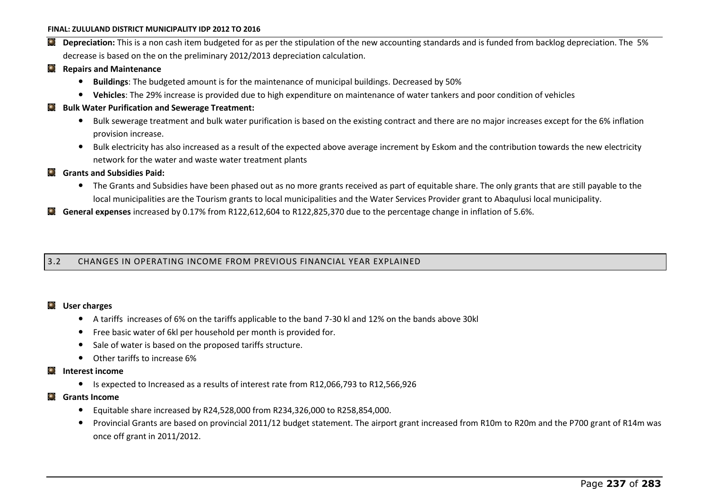- **Depreciation:** This is a non cash item budgeted for as per the stipulation of the new accounting standards and is funded from backlog depreciation. The 5% decrease is based on the on the preliminary 2012/2013 depreciation calculation.
- **Repairs and Maintenance** 
	- **Buildings**: The budgeted amount is for the maintenance of municipal buildings. Decreased by 50%
	- **Vehicles**: The 29% increase is provided due to high expenditure on maintenance of water tankers and poor condition of vehicles
- **Bulk Water Purification and Sewerage Treatment:** 
	- Bulk sewerage treatment and bulk water purification is based on the existing contract and there are no major increases except for the 6% inflation provision increase.
	- Bulk electricity has also increased as a result of the expected above average increment by Eskom and the contribution towards the new electricity network for the water and waste water treatment plants
- $\bullet$ **Grants and Subsidies Paid:** 
	- The Grants and Subsidies have been phased out as no more grants received as part of equitable share. The only grants that are still payable to the local municipalities are the Tourism grants to local municipalities and the Water Services Provider grant to Abaqulusi local municipality.
- **General expenses** increased by 0.17% from R122,612,604 to R122,825,370 due to the percentage change in inflation of 5.6%.  $\bullet$

3.2 CHANGES IN OPERATING INCOME FROM PREVIOUS FINANCIAL YEAR EXPLAINED

#### **User charges**   $\bullet$

- A tariffs increases of 6% on the tariffs applicable to the band 7-30 kl and 12% on the bands above 30kl
- Free basic water of 6kl per household per month is provided for.
- Sale of water is based on the proposed tariffs structure.
- Other tariffs to increase 6%

### **Interest income**

- Is expected to Increased as a results of interest rate from R12,066,793 to R12,566,926
- **Grants Income** 
	- Equitable share increased by R24,528,000 from R234,326,000 to R258,854,000.
	- Provincial Grants are based on provincial 2011/12 budget statement. The airport grant increased from R10m to R20m and the P700 grant of R14m was once off grant in 2011/2012.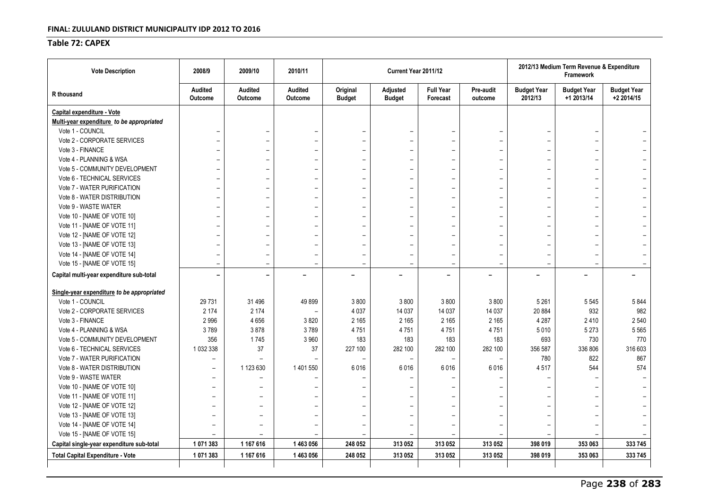### **Table 72: CAPEX**

| <b>Vote Description</b>                    | 2008/9                   | 2009/10                          | 2010/11                   |                           | Current Year 2011/12      |                              |                          | 2012/13 Medium Term Revenue & Expenditure<br>Framework |                                  |                                  |
|--------------------------------------------|--------------------------|----------------------------------|---------------------------|---------------------------|---------------------------|------------------------------|--------------------------|--------------------------------------------------------|----------------------------------|----------------------------------|
| R thousand                                 | Audited<br>Outcome       | <b>Audited</b><br><b>Outcome</b> | <b>Audited</b><br>Outcome | Original<br><b>Budget</b> | Adjusted<br><b>Budget</b> | <b>Full Year</b><br>Forecast | Pre-audit<br>outcome     | <b>Budget Year</b><br>2012/13                          | <b>Budget Year</b><br>+1 2013/14 | <b>Budget Year</b><br>+2 2014/15 |
| Capital expenditure - Vote                 |                          |                                  |                           |                           |                           |                              |                          |                                                        |                                  |                                  |
| Multi-year expenditure to be appropriated  |                          |                                  |                           |                           |                           |                              |                          |                                                        |                                  |                                  |
| Vote 1 - COUNCIL                           |                          |                                  |                           |                           |                           |                              |                          |                                                        | $\overline{\phantom{0}}$         |                                  |
| Vote 2 - CORPORATE SERVICES                |                          |                                  |                           |                           | $\overline{\phantom{0}}$  | $\overline{\phantom{0}}$     |                          | $\overline{\phantom{0}}$                               |                                  |                                  |
| Vote 3 - FINANCE                           |                          |                                  |                           |                           | $\overline{\phantom{0}}$  | $\overline{\phantom{0}}$     | $\overline{\phantom{0}}$ | $\qquad \qquad -$                                      |                                  |                                  |
| Vote 4 - PLANNING & WSA                    |                          |                                  |                           |                           | $\qquad \qquad -$         | $\overline{\phantom{0}}$     | $\overline{\phantom{0}}$ | $\overline{\phantom{0}}$                               | $\qquad \qquad -$                |                                  |
| Vote 5 - COMMUNITY DEVELOPMENT             |                          |                                  |                           |                           | $\overline{\phantom{0}}$  | $\overline{\phantom{0}}$     |                          |                                                        |                                  |                                  |
| Vote 6 - TECHNICAL SERVICES                |                          | $\overline{\phantom{0}}$         |                           |                           | $\overline{\phantom{0}}$  | $\overline{\phantom{0}}$     | $\overline{\phantom{0}}$ | $\overline{\phantom{0}}$                               | $\qquad \qquad -$                |                                  |
| Vote 7 - WATER PURIFICATION                |                          |                                  |                           |                           |                           |                              |                          | $\qquad \qquad -$                                      |                                  |                                  |
| Vote 8 - WATER DISTRIBUTION                |                          |                                  |                           |                           | $\overline{\phantom{m}}$  | $\overline{\phantom{0}}$     |                          | $\qquad \qquad -$                                      |                                  |                                  |
| Vote 9 - WASTE WATER                       |                          |                                  |                           |                           |                           |                              |                          | -                                                      |                                  |                                  |
| Vote 10 - [NAME OF VOTE 10]                |                          |                                  |                           |                           |                           | $\overline{\phantom{0}}$     | $\overline{\phantom{0}}$ | $\qquad \qquad -$                                      | $\overline{\phantom{0}}$         |                                  |
| Vote 11 - [NAME OF VOTE 11]                |                          |                                  |                           |                           | $\overline{\phantom{0}}$  | $\overline{\phantom{0}}$     | $\overline{\phantom{0}}$ | $\overline{\phantom{0}}$                               | $\overline{\phantom{0}}$         |                                  |
| Vote 12 - [NAME OF VOTE 12]                |                          |                                  |                           |                           |                           | $\overline{\phantom{0}}$     | $\overline{\phantom{0}}$ | $\overline{\phantom{0}}$                               | $\overline{\phantom{0}}$         |                                  |
| Vote 13 - [NAME OF VOTE 13]                |                          |                                  |                           |                           |                           | $\overline{\phantom{0}}$     | $\overline{\phantom{0}}$ | $\overline{\phantom{0}}$                               | $\overline{\phantom{0}}$         |                                  |
| Vote 14 - [NAME OF VOTE 14]                |                          |                                  |                           |                           | $\overline{\phantom{0}}$  | $\equiv$                     | $\overline{\phantom{0}}$ | $\qquad \qquad -$                                      |                                  |                                  |
| Vote 15 - [NAME OF VOTE 15]                | $\overline{\phantom{0}}$ | $\overline{\phantom{0}}$         |                           | $\overline{\phantom{0}}$  | $\overline{\phantom{0}}$  | $\overline{\phantom{0}}$     | $\overline{\phantom{0}}$ | $\overline{\phantom{0}}$                               |                                  |                                  |
| Capital multi-year expenditure sub-total   |                          | -                                |                           |                           | $\overline{\phantom{0}}$  | $\overline{\phantom{0}}$     |                          | $\overline{\phantom{0}}$                               | -                                |                                  |
| Single-year expenditure to be appropriated |                          |                                  |                           |                           |                           |                              |                          |                                                        |                                  |                                  |
| Vote 1 - COUNCIL                           | 29 7 31                  | 31 4 96                          | 49899                     | 3800                      | 3800                      | 3800                         | 3800                     | 5 2 6 1                                                | 5545                             | 5844                             |
| Vote 2 - CORPORATE SERVICES                | 2 1 7 4                  | 2 1 7 4                          |                           | 4 0 3 7                   | 14 037                    | 14 037                       | 14 037                   | 20 884                                                 | 932                              | 982                              |
| Vote 3 - FINANCE                           | 2996                     | 4656                             | 3820                      | 2 1 6 5                   | 2 1 6 5                   | 2 1 6 5                      | 2 1 6 5                  | 4 2 8 7                                                | 2410                             | 2 5 4 0                          |
| Vote 4 - PLANNING & WSA                    | 3789                     | 3878                             | 3789                      | 4751                      | 4751                      | 4751                         | 4751                     | 5010                                                   | 5 2 7 3                          | 5 5 6 5                          |
| Vote 5 - COMMUNITY DEVELOPMENT             | 356                      | 1745                             | 3 9 6 0                   | 183                       | 183                       | 183                          | 183                      | 693                                                    | 730                              | 770                              |
| Vote 6 - TECHNICAL SERVICES                | 1 032 338                | 37                               | 37                        | 227 100                   | 282 100                   | 282 100                      | 282 100                  | 356 587                                                | 336 806                          | 316 603                          |
| Vote 7 - WATER PURIFICATION                |                          |                                  |                           |                           |                           |                              |                          | 780                                                    | 822                              | 867                              |
| Vote 8 - WATER DISTRIBUTION                | $\overline{\phantom{0}}$ | 1 123 630                        | 1 401 550                 | 6016                      | 6016                      | 6016                         | 6016                     | 4517                                                   | 544                              | 574                              |
| Vote 9 - WASTE WATER                       | $\overline{\phantom{0}}$ | $\overline{\phantom{0}}$         |                           |                           |                           |                              |                          | $\overline{\phantom{0}}$                               |                                  |                                  |
| Vote 10 - [NAME OF VOTE 10]                | $\overline{\phantom{0}}$ |                                  |                           |                           |                           |                              |                          | $\overline{\phantom{0}}$                               |                                  |                                  |
| Vote 11 - [NAME OF VOTE 11]                |                          |                                  |                           |                           |                           |                              |                          | $\qquad \qquad -$                                      |                                  |                                  |
| Vote 12 - [NAME OF VOTE 12]                |                          |                                  |                           |                           |                           |                              |                          | $\qquad \qquad -$                                      |                                  |                                  |
| Vote 13 - [NAME OF VOTE 13]                |                          |                                  |                           |                           |                           |                              |                          | -                                                      |                                  |                                  |
| Vote 14 - [NAME OF VOTE 14]                |                          |                                  |                           |                           |                           |                              |                          |                                                        |                                  |                                  |
| Vote 15 - [NAME OF VOTE 15]                | $\overline{\phantom{0}}$ | $\overline{\phantom{0}}$         |                           |                           |                           |                              |                          |                                                        |                                  |                                  |
| Capital single-year expenditure sub-total  | 1071383                  | 1 167 616                        | 1463056                   | 248 052                   | 313 052                   | 313 052                      | 313 052                  | 398 019                                                | 353 063                          | 333745                           |
| <b>Total Capital Expenditure - Vote</b>    | 1071383                  | 1 167 616                        | 1463056                   | 248 052                   | 313 052                   | 313 052                      | 313 052                  | 398 019                                                | 353 063                          | 333 745                          |
|                                            |                          |                                  |                           |                           |                           |                              |                          |                                                        |                                  |                                  |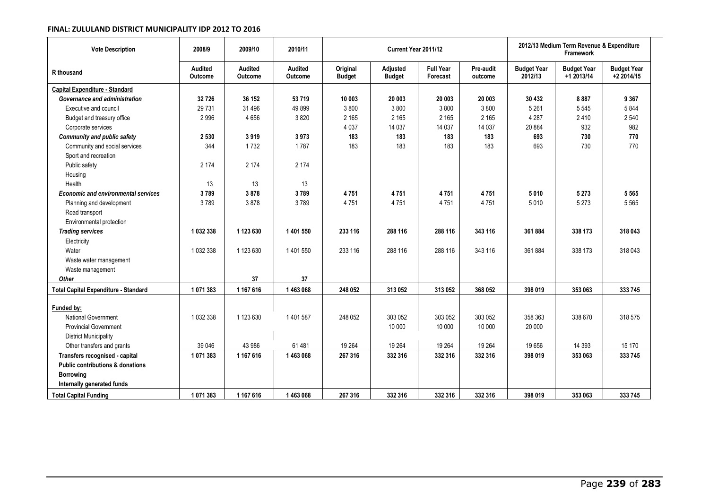| <b>Vote Description</b>                     | 2008/9             | 2009/10            | 2010/11            |                           | Current Year 2011/12      |                              |                      | 2012/13 Medium Term Revenue & Expenditure<br><b>Framework</b> |                                  |                                  |  |
|---------------------------------------------|--------------------|--------------------|--------------------|---------------------------|---------------------------|------------------------------|----------------------|---------------------------------------------------------------|----------------------------------|----------------------------------|--|
| R thousand                                  | Audited<br>Outcome | Audited<br>Outcome | Audited<br>Outcome | Original<br><b>Budget</b> | Adjusted<br><b>Budget</b> | <b>Full Year</b><br>Forecast | Pre-audit<br>outcome | <b>Budget Year</b><br>2012/13                                 | <b>Budget Year</b><br>+1 2013/14 | <b>Budget Year</b><br>+2 2014/15 |  |
| <b>Capital Expenditure - Standard</b>       |                    |                    |                    |                           |                           |                              |                      |                                                               |                                  |                                  |  |
| Governance and administration               | 32 7 26            | 36 152             | 53719              | 10 003                    | 20 003                    | 20 003                       | 20 003               | 30 432                                                        | 8887                             | 9 3 6 7                          |  |
| Executive and council                       | 29 7 31            | 31 4 96            | 49899              | 3800                      | 3800                      | 3800                         | 3800                 | 5 2 6 1                                                       | 5545                             | 5844                             |  |
| Budget and treasury office                  | 2996               | 4656               | 3820               | 2 1 6 5                   | 2 1 6 5                   | 2 1 6 5                      | 2 1 6 5              | 4 2 8 7                                                       | 2410                             | 2 5 4 0                          |  |
| Corporate services                          |                    |                    |                    | 4 0 3 7                   | 14 037                    | 14 037                       | 14 037               | 20 8 84                                                       | 932                              | 982                              |  |
| <b>Community and public safety</b>          | 2 5 3 0            | 3919               | 3973               | 183                       | 183                       | 183                          | 183                  | 693                                                           | 730                              | 770                              |  |
| Community and social services               | 344                | 1732               | 1787               | 183                       | 183                       | 183                          | 183                  | 693                                                           | 730                              | 770                              |  |
| Sport and recreation                        |                    |                    |                    |                           |                           |                              |                      |                                                               |                                  |                                  |  |
| Public safety                               | 2 1 7 4            | 2 1 7 4            | 2 1 7 4            |                           |                           |                              |                      |                                                               |                                  |                                  |  |
| Housing                                     |                    |                    |                    |                           |                           |                              |                      |                                                               |                                  |                                  |  |
| Health                                      | 13                 | 13                 | 13                 |                           |                           |                              |                      |                                                               |                                  |                                  |  |
| <b>Economic and environmental services</b>  | 3789               | 3878               | 3789               | 4751                      | 4751                      | 4751                         | 4751                 | 5010                                                          | 5 2 7 3                          | 5 5 6 5                          |  |
| Planning and development                    | 3789               | 3878               | 3789               | 4751                      | 4751                      | 4751                         | 4751                 | 5010                                                          | 5 2 7 3                          | 5 5 6 5                          |  |
| Road transport                              |                    |                    |                    |                           |                           |                              |                      |                                                               |                                  |                                  |  |
| Environmental protection                    |                    |                    |                    |                           |                           |                              |                      |                                                               |                                  |                                  |  |
| <b>Trading services</b>                     | 1 032 338          | 1 123 630          | 1401550            | 233 116                   | 288 116                   | 288 116                      | 343 116              | 361884                                                        | 338 173                          | 318 043                          |  |
| Electricity                                 |                    |                    |                    |                           |                           |                              |                      |                                                               |                                  |                                  |  |
| Water                                       | 1 032 338          | 1 123 630          | 1 401 550          | 233 116                   | 288 116                   | 288 116                      | 343 116              | 361884                                                        | 338 173                          | 318 043                          |  |
| Waste water management                      |                    |                    |                    |                           |                           |                              |                      |                                                               |                                  |                                  |  |
| Waste management                            |                    |                    |                    |                           |                           |                              |                      |                                                               |                                  |                                  |  |
| Other                                       |                    | 37                 | 37                 |                           |                           |                              |                      |                                                               |                                  |                                  |  |
| <b>Total Capital Expenditure - Standard</b> | 1 071 383          | 1 167 616          | 1463068            | 248 052                   | 313 052                   | 313 052                      | 368 052              | 398 019                                                       | 353 063                          | 333 745                          |  |
|                                             |                    |                    |                    |                           |                           |                              |                      |                                                               |                                  |                                  |  |
| Funded by:                                  |                    |                    |                    |                           |                           |                              |                      |                                                               |                                  |                                  |  |
| <b>National Government</b>                  | 1 032 338          | 1 123 630          | 1401587            | 248 052                   | 303 052                   | 303 052                      | 303 052              | 358 363                                                       | 338 670                          | 318 575                          |  |
| <b>Provincial Government</b>                |                    |                    |                    |                           | 10 000                    | 10 000                       | 10 000               | 20 000                                                        |                                  |                                  |  |
| <b>District Municipality</b>                |                    |                    |                    |                           |                           |                              |                      |                                                               |                                  |                                  |  |
| Other transfers and grants                  | 39 046             | 43 986             | 61 481             | 19 264                    | 19 264                    | 19 264                       | 19 264               | 19656                                                         | 14 3 9 3                         | 15 170                           |  |
| Transfers recognised - capital              | 1 071 383          | 1 167 616          | 1463068            | 267 316                   | 332 316                   | 332 316                      | 332 316              | 398 019                                                       | 353 063                          | 333745                           |  |
| <b>Public contributions &amp; donations</b> |                    |                    |                    |                           |                           |                              |                      |                                                               |                                  |                                  |  |
| <b>Borrowing</b>                            |                    |                    |                    |                           |                           |                              |                      |                                                               |                                  |                                  |  |
| Internally generated funds                  |                    |                    |                    |                           |                           |                              |                      |                                                               |                                  |                                  |  |
| <b>Total Capital Funding</b>                | 1 071 383          | 1 167 616          | 1463068            | 267 316                   | 332 316                   | 332 316                      | 332 316              | 398 019                                                       | 353 063                          | 333 745                          |  |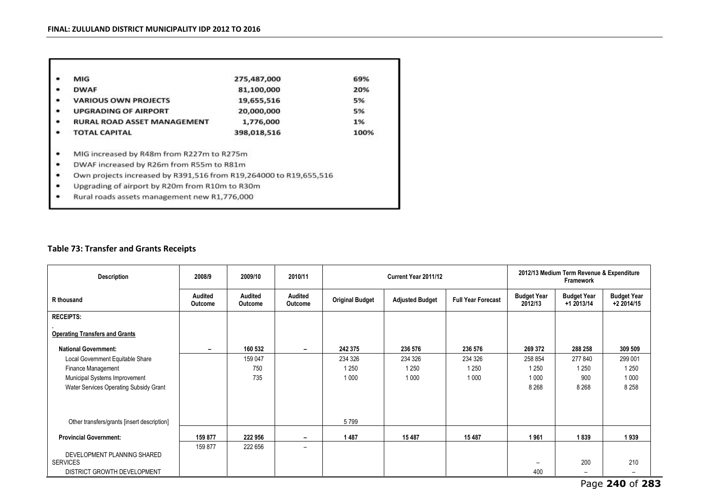| ٠ | MIG                                                               | 275,487,000 | 69%  |
|---|-------------------------------------------------------------------|-------------|------|
| ٠ | <b>DWAF</b>                                                       | 81,100,000  | 20%  |
| ٠ | <b>VARIOUS OWN PROJECTS</b>                                       | 19,655,516  | 5%   |
| ٠ | <b>UPGRADING OF AIRPORT</b>                                       | 20,000,000  | 5%   |
| ٠ | <b>RURAL ROAD ASSET MANAGEMENT</b>                                | 1,776,000   | 1%   |
| ٠ | <b>TOTAL CAPITAL</b>                                              | 398,018,516 | 100% |
| ٠ | MIG increased by R48m from R227m to R275m                         |             |      |
| ٠ | DWAF increased by R26m from R55m to R81m                          |             |      |
| ٠ | Own projects increased by R391,516 from R19,264000 to R19,655,516 |             |      |
| ٠ | Upgrading of airport by R20m from R10m to R30m                    |             |      |

Rural roads assets management new R1,776,000 ٠

### **Table 73: Transfer and Grants Receipts**

| <b>Description</b>                             | 2008/9             | 2009/10                   | 2010/11                   |                        | Current Year 2011/12   | 2012/13 Medium Term Revenue & Expenditure<br>Framework |                               |                                  |                                  |
|------------------------------------------------|--------------------|---------------------------|---------------------------|------------------------|------------------------|--------------------------------------------------------|-------------------------------|----------------------------------|----------------------------------|
| R thousand                                     | Audited<br>Outcome | <b>Audited</b><br>Outcome | Audited<br><b>Outcome</b> | <b>Original Budget</b> | <b>Adjusted Budget</b> | <b>Full Year Forecast</b>                              | <b>Budget Year</b><br>2012/13 | <b>Budget Year</b><br>+1 2013/14 | <b>Budget Year</b><br>+2 2014/15 |
| <b>RECEIPTS:</b>                               |                    |                           |                           |                        |                        |                                                        |                               |                                  |                                  |
| <b>Operating Transfers and Grants</b>          |                    |                           |                           |                        |                        |                                                        |                               |                                  |                                  |
| <b>National Government:</b>                    |                    | 160 532                   |                           | 242 375                | 236 576                | 236 576                                                | 269 372                       | 288 258                          | 309 509                          |
| Local Government Equitable Share               |                    | 159 047                   |                           | 234 326                | 234 326                | 234 326                                                | 258 854                       | 277840                           | 299 001                          |
| Finance Management                             |                    | 750                       |                           | 1 2 5 0                | 1 2 5 0                | 1 2 5 0                                                | 1 2 5 0                       | 1 2 5 0                          | 1 2 5 0                          |
| Municipal Systems Improvement                  |                    | 735                       |                           | 1 0 0 0                | 1 0 0 0                | 1 0 0 0                                                | 1 0 0 0                       | 900                              | 1 0 0 0                          |
| Water Services Operating Subsidy Grant         |                    |                           |                           |                        |                        |                                                        | 8 2 6 8                       | 8 2 6 8                          | 8 2 5 8                          |
| Other transfers/grants [insert description]    |                    |                           |                           | 5799                   |                        |                                                        |                               |                                  |                                  |
|                                                |                    |                           |                           |                        |                        |                                                        |                               |                                  |                                  |
| <b>Provincial Government:</b>                  | 159 877            | 222 956                   |                           | 1487                   | 15487                  | 15 487                                                 | 1961                          | 1839                             | 1939                             |
|                                                | 159 877            | 222 656                   | $\overline{\phantom{0}}$  |                        |                        |                                                        |                               |                                  |                                  |
| DEVELOPMENT PLANNING SHARED<br><b>SERVICES</b> |                    |                           |                           |                        |                        |                                                        |                               | 200                              | 210                              |
| DISTRICT GROWTH DEVELOPMENT                    |                    |                           |                           |                        |                        |                                                        | 400                           | $\overline{\phantom{m}}$         | $\qquad \qquad -$                |

Page **240** of **283**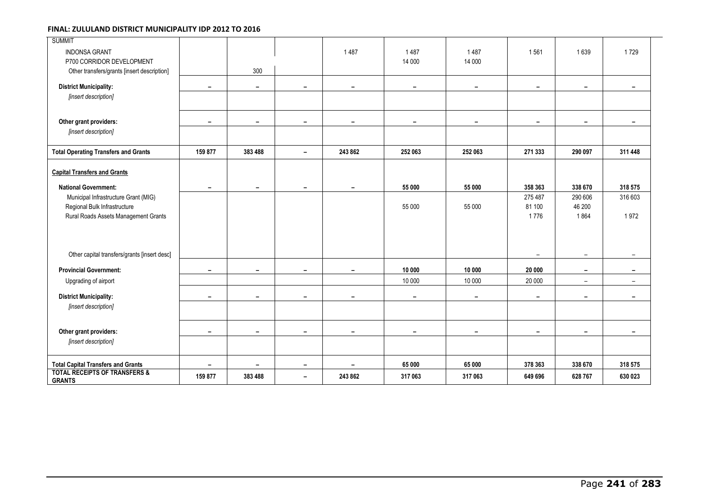| <b>SUMMIT</b>                                             |                          |                          |                          |                          |                          |                          |                          |                          |                          |
|-----------------------------------------------------------|--------------------------|--------------------------|--------------------------|--------------------------|--------------------------|--------------------------|--------------------------|--------------------------|--------------------------|
| <b>INDONSA GRANT</b><br>P700 CORRIDOR DEVELOPMENT         |                          |                          |                          | 1487                     | 1487<br>14 000           | 1487<br>14 000           | 1561                     | 1639                     | 1729                     |
| Other transfers/grants [insert description]               |                          | 300                      |                          |                          |                          |                          |                          |                          |                          |
| <b>District Municipality:</b>                             | $\qquad \qquad -$        | -                        | -                        | $\overline{\phantom{0}}$ | $\overline{\phantom{a}}$ | $\overline{\phantom{0}}$ | -                        | $\overline{\phantom{0}}$ | $\overline{\phantom{0}}$ |
| [insert description]                                      |                          |                          |                          |                          |                          |                          |                          |                          |                          |
| Other grant providers:                                    | -                        | $\overline{\phantom{0}}$ | $\blacksquare$           | $\overline{\phantom{0}}$ | $\overline{\phantom{0}}$ | $\overline{\phantom{0}}$ | $\overline{\phantom{0}}$ | $\overline{\phantom{0}}$ | $\overline{\phantom{a}}$ |
| [insert description]                                      |                          |                          |                          |                          |                          |                          |                          |                          |                          |
| <b>Total Operating Transfers and Grants</b>               | 159 877                  | 383 488                  | $\overline{\phantom{a}}$ | 243 862                  | 252 063                  | 252 063                  | 271 333                  | 290 097                  | 311 448                  |
| <b>Capital Transfers and Grants</b>                       |                          |                          |                          |                          |                          |                          |                          |                          |                          |
| <b>National Government:</b>                               | $\overline{\phantom{a}}$ | $\overline{\phantom{a}}$ | $\overline{\phantom{a}}$ | -                        | 55 000                   | 55 000                   | 358 363                  | 338 670                  | 318 575                  |
| Municipal Infrastructure Grant (MIG)                      |                          |                          |                          |                          |                          |                          | 275 487                  | 290 606                  | 316 603                  |
| Regional Bulk Infrastructure                              |                          |                          |                          |                          | 55 000                   | 55 000                   | 81 100                   | 46 200                   |                          |
| Rural Roads Assets Management Grants                      |                          |                          |                          |                          |                          |                          | 1776                     | 1864                     | 1972                     |
|                                                           |                          |                          |                          |                          |                          |                          |                          |                          |                          |
| Other capital transfers/grants [insert desc]              |                          |                          |                          |                          |                          |                          | $\overline{\phantom{0}}$ | $\overline{\phantom{m}}$ |                          |
| <b>Provincial Government:</b>                             | $\overline{\phantom{0}}$ | $\overline{\phantom{0}}$ |                          |                          | 10 000                   | 10 000                   | 20 000                   | $\overline{\phantom{a}}$ |                          |
| Upgrading of airport                                      |                          |                          |                          |                          | 10 000                   | 10 000                   | 20 000                   | $-$                      | $\overline{\phantom{a}}$ |
| <b>District Municipality:</b>                             | -                        | -                        | $\overline{\phantom{a}}$ | $\overline{\phantom{0}}$ | $\overline{\phantom{a}}$ | $\overline{\phantom{0}}$ | $\overline{\phantom{0}}$ | $\overline{\phantom{a}}$ |                          |
| [insert description]                                      |                          |                          |                          |                          |                          |                          |                          |                          |                          |
| Other grant providers:                                    | -                        | $\overline{\phantom{a}}$ | $\overline{\phantom{a}}$ | $\overline{\phantom{a}}$ | $\overline{\phantom{a}}$ | $\overline{\phantom{a}}$ | $\overline{\phantom{a}}$ | $\overline{\phantom{a}}$ | $\overline{\phantom{a}}$ |
| [insert description]                                      |                          |                          |                          |                          |                          |                          |                          |                          |                          |
| <b>Total Capital Transfers and Grants</b>                 | $\qquad \qquad -$        | $\overline{\phantom{a}}$ | $\overline{\phantom{a}}$ | -                        | 65 000                   | 65 000                   | 378 363                  | 338 670                  | 318 575                  |
| <b>TOTAL RECEIPTS OF TRANSFERS &amp;</b><br><b>GRANTS</b> | 159 877                  | 383 488                  | $\overline{\phantom{0}}$ | 243 862                  | 317 063                  | 317 063                  | 649 696                  | 628767                   | 630 023                  |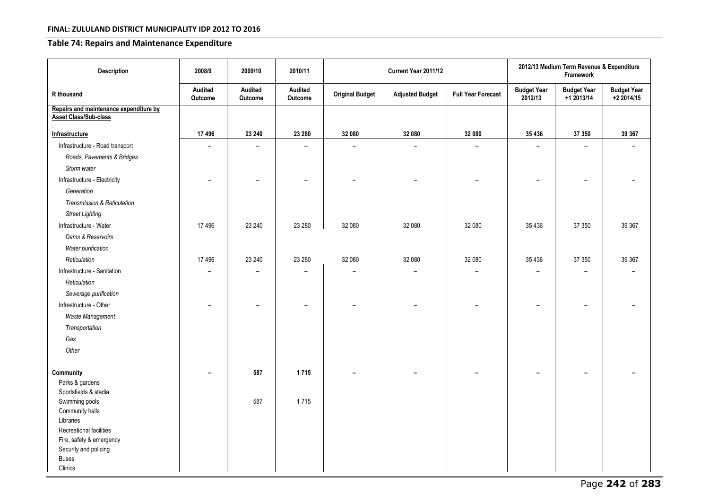### **Table 74: Repairs and Maintenance Expenditure**

| <b>Description</b>                                                     | 2008/9                   | 2009/10                  | 2010/11                  |                          | Current Year 2011/12     | 2012/13 Medium Term Revenue & Expenditure<br>Framework |                               |                                  |                                  |
|------------------------------------------------------------------------|--------------------------|--------------------------|--------------------------|--------------------------|--------------------------|--------------------------------------------------------|-------------------------------|----------------------------------|----------------------------------|
| R thousand                                                             | Audited<br>Outcome       | Audited<br>Outcome       | Audited<br>Outcome       | <b>Original Budget</b>   | <b>Adjusted Budget</b>   | <b>Full Year Forecast</b>                              | <b>Budget Year</b><br>2012/13 | <b>Budget Year</b><br>+1 2013/14 | <b>Budget Year</b><br>+2 2014/15 |
| Repairs and maintenance expenditure by<br><b>Asset Class/Sub-class</b> |                          |                          |                          |                          |                          |                                                        |                               |                                  |                                  |
| Infrastructure                                                         | 17496                    | 23 240                   | 23 280                   | 32 080                   | 32 080                   | 32 080                                                 | 35 4 36                       | 37 350                           | 39 367                           |
| Infrastructure - Road transport                                        | $\overline{a}$           | $\overline{\phantom{0}}$ | $\overline{\phantom{0}}$ |                          | $\overline{a}$           | $\overline{\phantom{0}}$                               |                               | $\overline{a}$                   | $\equiv$                         |
| Roads, Pavements & Bridges                                             |                          |                          |                          |                          |                          |                                                        |                               |                                  |                                  |
| Storm water                                                            |                          |                          |                          |                          |                          |                                                        |                               |                                  |                                  |
| Infrastructure - Electricity                                           |                          |                          |                          |                          |                          |                                                        |                               |                                  |                                  |
| Generation                                                             |                          |                          |                          |                          |                          |                                                        |                               |                                  |                                  |
| Transmission & Reticulation                                            |                          |                          |                          |                          |                          |                                                        |                               |                                  |                                  |
| <b>Street Lighting</b>                                                 |                          |                          |                          |                          |                          |                                                        |                               |                                  |                                  |
| Infrastructure - Water                                                 | 17496                    | 23 240                   | 23 280                   | 32 080                   | 32 080                   | 32 080                                                 | 35 4 36                       | 37 350                           | 39 367                           |
| Dams & Reservoirs                                                      |                          |                          |                          |                          |                          |                                                        |                               |                                  |                                  |
| Water purification                                                     |                          |                          |                          |                          |                          |                                                        |                               |                                  |                                  |
| Reticulation                                                           | 17 49 6                  | 23 240                   | 23 280                   | 32 080                   | 32 080                   | 32 080                                                 | 35 4 36                       | 37 350                           | 39 367                           |
| Infrastructure - Sanitation                                            | $\overline{a}$           |                          |                          |                          |                          |                                                        |                               |                                  |                                  |
| Reticulation                                                           |                          |                          |                          |                          |                          |                                                        |                               |                                  |                                  |
| Sewerage purification                                                  |                          |                          |                          |                          |                          |                                                        |                               |                                  |                                  |
| Infrastructure - Other                                                 | $\overline{\phantom{0}}$ | $\overline{\phantom{0}}$ | $\overline{\phantom{0}}$ |                          |                          |                                                        |                               |                                  |                                  |
| Waste Management                                                       |                          |                          |                          |                          |                          |                                                        |                               |                                  |                                  |
| Transportation                                                         |                          |                          |                          |                          |                          |                                                        |                               |                                  |                                  |
| Gas                                                                    |                          |                          |                          |                          |                          |                                                        |                               |                                  |                                  |
| Other                                                                  |                          |                          |                          |                          |                          |                                                        |                               |                                  |                                  |
|                                                                        |                          |                          |                          |                          |                          |                                                        |                               |                                  |                                  |
| Community                                                              | $\overline{\phantom{a}}$ | 587                      | 1715                     | $\overline{\phantom{0}}$ | $\overline{\phantom{a}}$ | $\overline{\phantom{a}}$                               | $\overline{\phantom{a}}$      | $\overline{\phantom{a}}$         | $\overline{\phantom{0}}$         |
| Parks & gardens                                                        |                          |                          |                          |                          |                          |                                                        |                               |                                  |                                  |
| Sportsfields & stadia                                                  |                          |                          |                          |                          |                          |                                                        |                               |                                  |                                  |
| Swimming pools<br>Community halls                                      |                          | 587                      | 1715                     |                          |                          |                                                        |                               |                                  |                                  |
| Libraries                                                              |                          |                          |                          |                          |                          |                                                        |                               |                                  |                                  |
| Recreational facilities                                                |                          |                          |                          |                          |                          |                                                        |                               |                                  |                                  |
| Fire, safety & emergency                                               |                          |                          |                          |                          |                          |                                                        |                               |                                  |                                  |
| Security and policing                                                  |                          |                          |                          |                          |                          |                                                        |                               |                                  |                                  |
| <b>Buses</b>                                                           |                          |                          |                          |                          |                          |                                                        |                               |                                  |                                  |
| Clinics                                                                |                          |                          |                          |                          |                          |                                                        |                               |                                  |                                  |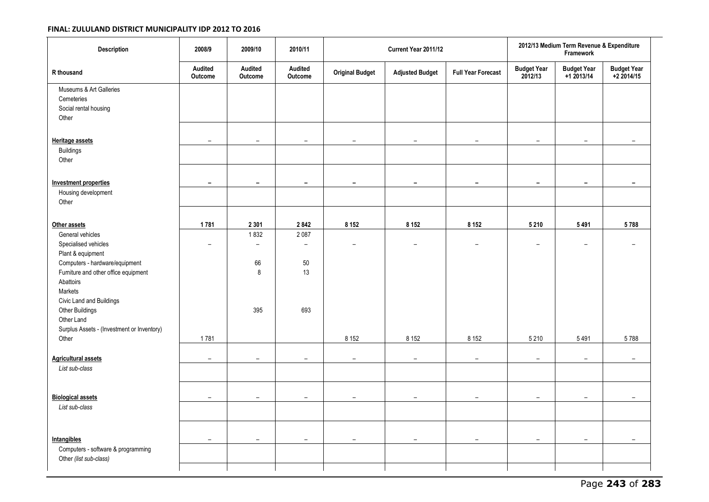| Description                                                                                                                                                                                                                                                                         | 2008/9                           | 2009/10                                            | 2010/11                                                 |                                     | Current Year 2011/12                |                                     | 2012/13 Medium Term Revenue & Expenditure<br>Framework |                                    |                                  |
|-------------------------------------------------------------------------------------------------------------------------------------------------------------------------------------------------------------------------------------------------------------------------------------|----------------------------------|----------------------------------------------------|---------------------------------------------------------|-------------------------------------|-------------------------------------|-------------------------------------|--------------------------------------------------------|------------------------------------|----------------------------------|
| R thousand                                                                                                                                                                                                                                                                          | Audited<br><b>Outcome</b>        | Audited<br>Outcome                                 | Audited<br>Outcome                                      | <b>Original Budget</b>              | <b>Adjusted Budget</b>              | <b>Full Year Forecast</b>           | <b>Budget Year</b><br>2012/13                          | <b>Budget Year</b><br>$+1$ 2013/14 | <b>Budget Year</b><br>+2 2014/15 |
| Museums & Art Galleries<br>Cemeteries<br>Social rental housing<br>Other                                                                                                                                                                                                             |                                  |                                                    |                                                         |                                     |                                     |                                     |                                                        |                                    |                                  |
| <b>Heritage assets</b><br><b>Buildings</b><br>Other                                                                                                                                                                                                                                 | $\equiv$                         | $\overline{\phantom{0}}$                           | $\overline{\phantom{0}}$                                | $\overline{\phantom{0}}$            | $\overline{\phantom{a}}$            | $\overline{\phantom{0}}$            | $\overline{\phantom{0}}$                               | $\overline{\phantom{0}}$           |                                  |
| <b>Investment properties</b><br>Housing development<br>Other                                                                                                                                                                                                                        | $\overline{\phantom{a}}$         | $\overline{\phantom{0}}$                           | $\overline{\phantom{0}}$                                | $\overline{\phantom{0}}$            | $\overline{\phantom{a}}$            | $\overline{\phantom{0}}$            | $\overline{\phantom{0}}$                               | $\overline{\phantom{a}}$           | $\overline{\phantom{a}}$         |
| Other assets                                                                                                                                                                                                                                                                        | 1781                             | 2 3 0 1                                            | 2842                                                    | 8 1 5 2                             | 8 1 5 2                             | 8 1 5 2                             | 5 2 1 0                                                | 5491                               | 5788                             |
| General vehicles<br>Specialised vehicles<br>Plant & equipment<br>Computers - hardware/equipment<br>Furniture and other office equipment<br>Abattoirs<br>Markets<br>Civic Land and Buildings<br>Other Buildings<br>Other Land<br>Surplus Assets - (Investment or Inventory)<br>Other | $\overline{\phantom{0}}$<br>1781 | 1832<br>$\overline{\phantom{0}}$<br>66<br>8<br>395 | 2087<br>$\overline{\phantom{0}}$<br>$50\,$<br>13<br>693 | $\overline{\phantom{0}}$<br>8 1 5 2 | $\overline{\phantom{0}}$<br>8 1 5 2 | $\overline{\phantom{0}}$<br>8 1 5 2 | $\overline{\phantom{0}}$<br>5 2 1 0                    | $\overline{\phantom{0}}$<br>5491   | 5788                             |
| <b>Agricultural assets</b>                                                                                                                                                                                                                                                          | $\overline{\phantom{0}}$         | $\overline{\phantom{a}}$                           | $\overline{\phantom{0}}$                                | $\overline{\phantom{a}}$            | $\qquad \qquad -$                   | $\overline{\phantom{a}}$            | $\overline{\phantom{a}}$                               | $\overline{\phantom{a}}$           | $\overline{\phantom{a}}$         |
| List sub-class                                                                                                                                                                                                                                                                      |                                  |                                                    |                                                         |                                     |                                     |                                     |                                                        |                                    |                                  |
| <b>Biological assets</b><br>List sub-class                                                                                                                                                                                                                                          | $\overline{\phantom{a}}$         | $\qquad \qquad -$                                  | $\overline{\phantom{0}}$                                | $\overline{\phantom{0}}$            | $\overline{\phantom{0}}$            |                                     | $\overline{\phantom{0}}$                               | $\qquad \qquad$                    |                                  |
|                                                                                                                                                                                                                                                                                     |                                  |                                                    |                                                         |                                     |                                     |                                     |                                                        |                                    |                                  |
| <b>Intangibles</b><br>Computers - software & programming<br>Other (list sub-class)                                                                                                                                                                                                  | $\overline{\phantom{0}}$         | $\overline{\phantom{a}}$                           | $\overline{\phantom{0}}$                                | $\overline{\phantom{a}}$            | $\overline{\phantom{0}}$            | $\overline{\phantom{0}}$            | $\overline{\phantom{a}}$                               | $\overline{\phantom{m}}$           | $\overline{\phantom{a}}$         |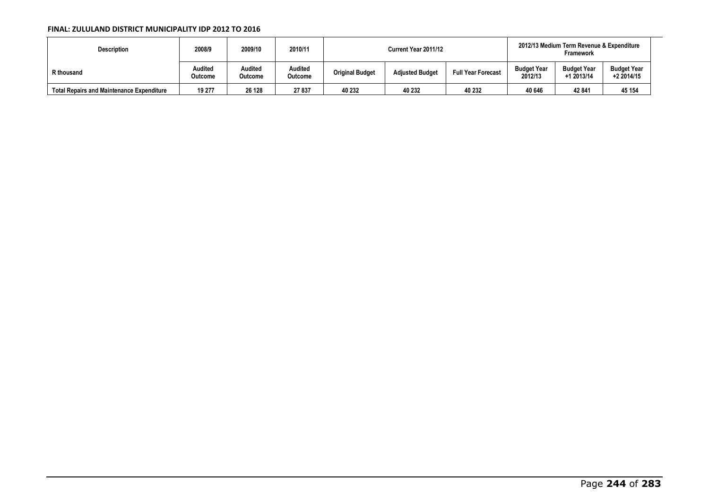| <b>Description</b>                               | 2008/9             | 2009/10            | 2010/11            |                        | Current Year 2011/12   | 2012/13 Medium Term Revenue & Expenditure<br><b>Framework</b> |                               |                                  |                                  |
|--------------------------------------------------|--------------------|--------------------|--------------------|------------------------|------------------------|---------------------------------------------------------------|-------------------------------|----------------------------------|----------------------------------|
| R thousand                                       | Audited<br>Outcome | Audited<br>Outcome | Audited<br>Outcome | <b>Original Budget</b> | <b>Adjusted Budget</b> | <b>Full Year Forecast</b>                                     | <b>Budget Year</b><br>2012/13 | <b>Budget Year</b><br>+1 2013/14 | <b>Budget Year</b><br>+2 2014/15 |
| <b>Total Repairs and Maintenance Expenditure</b> | 19 277             | 26 128             | 27837              | 40 232                 | 40 232                 | 40 232                                                        | 40 646                        | 42 841                           | 45 154                           |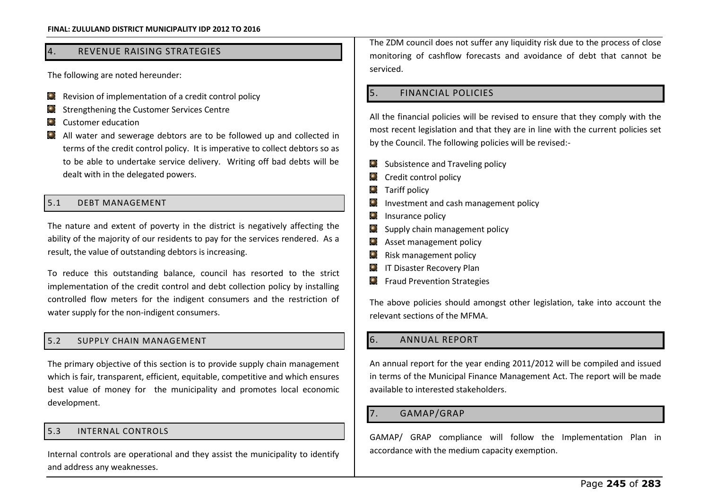### 4. REVENUE RAISING STRATEGIES

The following are noted hereunder:

- $\bullet$  Revision of implementation of a credit control policy
- Strengthening the Customer Services Centre  $\bullet$
- C Customer education
- All water and sewerage debtors are to be followed up and collected in terms of the credit control policy. It is imperative to collect debtors so as to be able to undertake service delivery. Writing off bad debts will be dealt with in the delegated powers.

### 5.1 DEBT MANAGEMENT

The nature and extent of poverty in the district is negatively affecting the ability of the majority of our residents to pay for the services rendered. As a result, the value of outstanding debtors is increasing.

To reduce this outstanding balance, council has resorted to the strict implementation of the credit control and debt collection policy by installing controlled flow meters for the indigent consumers and the restriction of water supply for the non-indigent consumers.

### 5.2 SUPPLY CHAIN MANAGEMENT

The primary objective of this section is to provide supply chain management which is fair, transparent, efficient, equitable, competitive and which ensures best value of money for the municipality and promotes local economic development.

### 5.3 INTERNAL CONTROLS

Internal controls are operational and they assist the municipality to identify and address any weaknesses.

The ZDM council does not suffer any liquidity risk due to the process of close monitoring of cashflow forecasts and avoidance of debt that cannot be serviced.

### 5. FINANCIAL POLICIES

All the financial policies will be revised to ensure that they comply with the most recent legislation and that they are in line with the current policies set by the Council. The following policies will be revised:-

- $\Box$  Subsistence and Traveling policy
- C Credit control policy
- **Q** Tariff policy
- $\Box$  Investment and cash management policy
- $\bullet$  Insurance policy
- **Supply chain management policy**
- **Q** Asset management policy
- **Q** Risk management policy
- **IT Disaster Recovery Plan**
- **C** Fraud Prevention Strategies

The above policies should amongst other legislation, take into account the relevant sections of the MFMA.

### 6. ANNUAL REPORT

An annual report for the year ending 2011/2012 will be compiled and issued in terms of the Municipal Finance Management Act. The report will be made available to interested stakeholders.

### 7. GAMAP/GRAP

GAMAP/ GRAP compliance will follow the Implementation Plan in accordance with the medium capacity exemption.